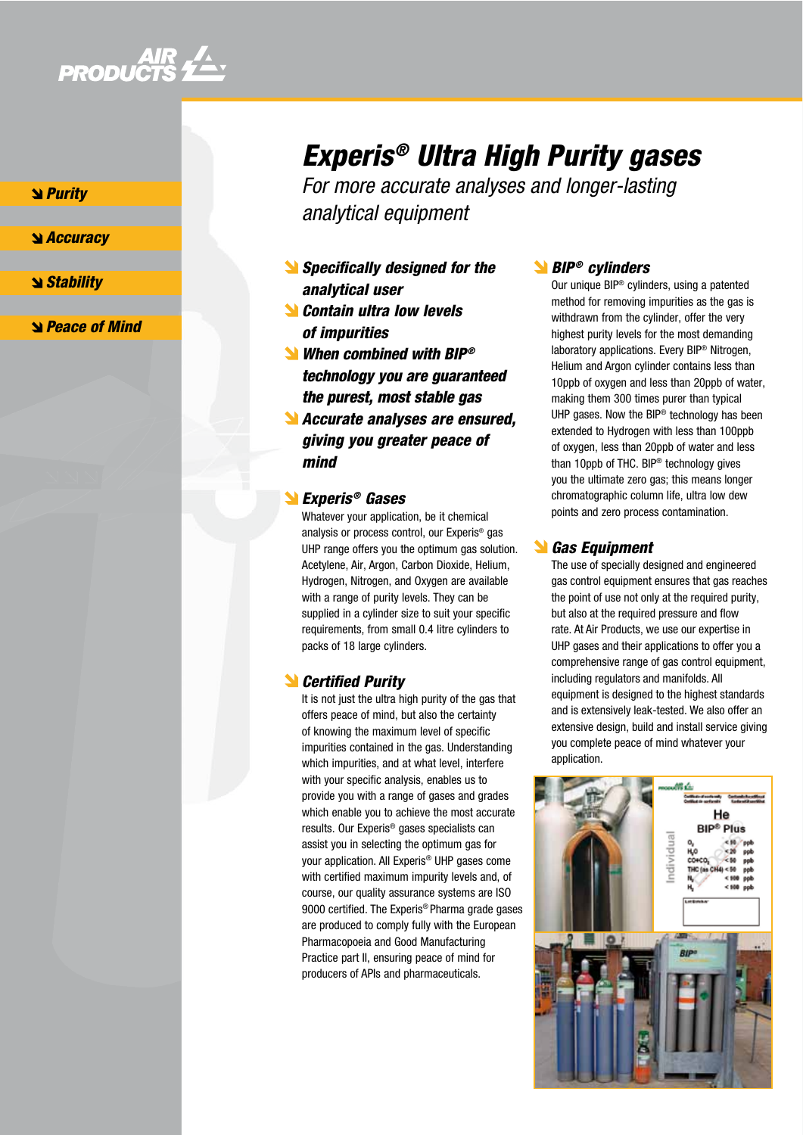

**S** *Purity* 

#### **Sand Securacy**

**Stability** 

Peace of Mind

# Experis ® Ultra High Purity gases

For more accurate analyses and longer-lasting analytical equipment

- Specifically designed for the analytical user
- **N** Contain ultra low levels of impurities
- When combined with BIP<sup>®</sup> technology you are guaranteed the purest, most stable gas
- Accurate analyses are ensured, giving you greater peace of mind

### Experis ® Gases

Whatever your application, be it chemical analysis or process control, our Experis ® gas UHP range offers you the optimum gas solution. Acetylene, Air, Argon, Carbon Dioxide, Helium, Hydrogen, Nitrogen, and Oxygen are available with a range of purity levels. They can be supplied in a cylinder size to suit your specific requirements, from small 0.4 litre cylinders to packs of 18 large cylinders.

# **S** Certified Purity

It is not just the ultra high purity of the gas that offers peace of mind, but also the certainty of knowing the maximum level of specific impurities contained in the gas. Understanding which impurities, and at what level, interfere with your specific analysis, enables us to provide you with a range of gases and grades which enable you to achieve the most accurate results. Our Experis ® gases specialists can assist you in selecting the optimum gas for your application. All Experis ® UHP gases come with certified maximum impurity levels and, of course, our quality assurance systems are ISO 9000 certified. The Experis ® Pharma grade gases are produced to comply fully with the European Pharmacopoeia and Good Manufacturing Practice part II, ensuring peace of mind for producers of APIs and pharmaceuticals.

## BIP ® cylinders

Our unique BIP ® cylinders, using a patented method for removing impurities as the gas is withdrawn from the cylinder, offer the very highest purity levels for the most demanding laboratory applications. Every BIP ® Nitrogen, Helium and Argon cylinder contains less than 10ppb of oxygen and less than 20ppb of water, making them 300 times purer than typical UHP gases. Now the BIP ® technology has been extended to Hydrogen with less than 100ppb of oxygen, less than 20ppb of water and less than 10ppb of THC. BIP ® technology gives you the ultimate zero gas; this means longer chromatographic column life, ultra low dew points and zero process contamination.

### **Sas Equipment**

The use of specially designed and engineered gas control equipment ensures that gas reaches the point of use not only at the required purity, but also at the required pressure and flow rate. At Air Products, we use our expertise in UHP gases and their applications to offer you a comprehensive range of gas control equipment, including regulators and manifolds. All equipment is designed to the highest standards and is extensively leak-tested. We also offer an extensive design, build and install service giving you complete peace of mind whatever your application.